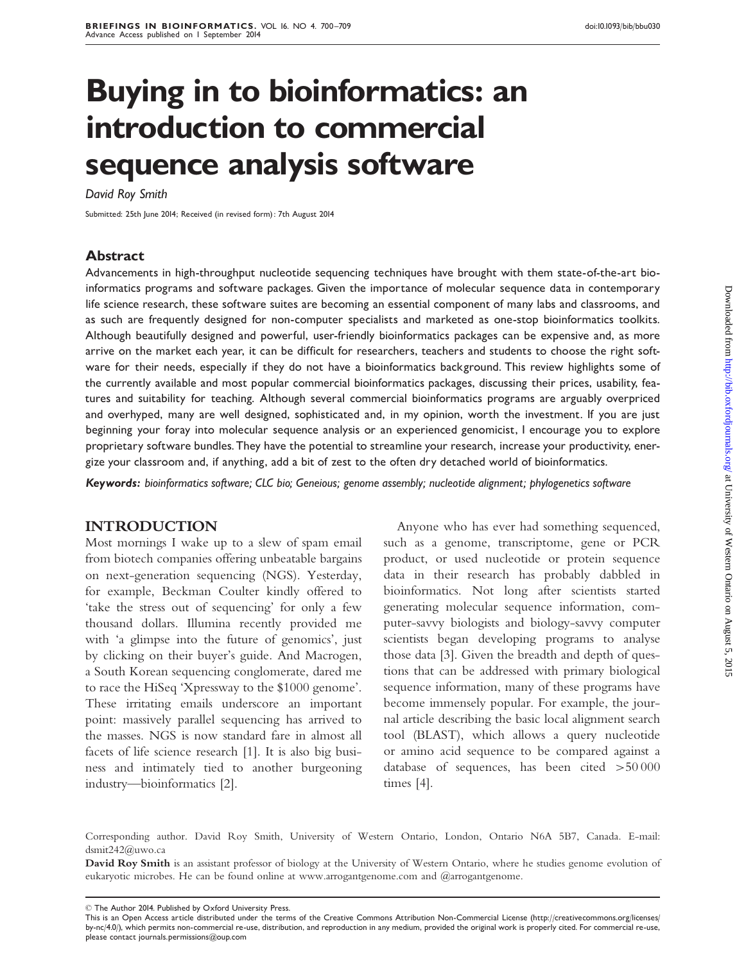# Buying in to bioinformatics: an introduction to commercial sequence analysis software

David Roy Smith

Submitted: 25th June 2014; Received (in revised form): 7th August 2014

### Abstract

Advancements in high-throughput nucleotide sequencing techniques have brought with them state-of-the-art bioinformatics programs and software packages. Given the importance of molecular sequence data in contemporary life science research, these software suites are becoming an essential component of many labs and classrooms, and as such are frequently designed for non-computer specialists and marketed as one-stop bioinformatics toolkits. Although beautifully designed and powerful, user-friendly bioinformatics packages can be expensive and, as more arrive on the market each year, it can be difficult for researchers, teachers and students to choose the right software for their needs, especially if they do not have a bioinformatics background. This review highlights some of the currently available and most popular commercial bioinformatics packages, discussing their prices, usability, features and suitability for teaching. Although several commercial bioinformatics programs are arguably overpriced and overhyped, many are well designed, sophisticated and, in my opinion, worth the investment. If you are just beginning your foray into molecular sequence analysis or an experienced genomicist, I encourage you to explore proprietary software bundles.They have the potential to streamline your research, increase your productivity, energize your classroom and, if anything, add a bit of zest to the often dry detached world of bioinformatics.

Keywords: bioinformatics software; CLC bio; Geneious; genome assembly; nucleotide alignment; phylogenetics software

## INTRODUCTION

Most mornings I wake up to a slew of spam email from biotech companies offering unbeatable bargains on next-generation sequencing (NGS). Yesterday, for example, Beckman Coulter kindly offered to 'take the stress out of sequencing' for only a few thousand dollars. Illumina recently provided me with 'a glimpse into the future of genomics', just by clicking on their buyer's guide. And Macrogen, a South Korean sequencing conglomerate, dared me to race the HiSeq 'Xpressway to the \$1000 genome'. These irritating emails underscore an important point: massively parallel sequencing has arrived to the masses. NGS is now standard fare in almost all facets of life science research [[1](#page-8-0)]. It is also big business and intimately tied to another burgeoning industry—bioinformatics [[2](#page-8-0)].

Anyone who has ever had something sequenced, such as a genome, transcriptome, gene or PCR product, or used nucleotide or protein sequence data in their research has probably dabbled in bioinformatics. Not long after scientists started generating molecular sequence information, computer-savvy biologists and biology-savvy computer scientists began developing programs to analyse those data [\[3\]](#page-8-0). Given the breadth and depth of questions that can be addressed with primary biological sequence information, many of these programs have become immensely popular. For example, the journal article describing the basic local alignment search tool (BLAST), which allows a query nucleotide or amino acid sequence to be compared against a database of sequences, has been cited  $>50000$ times [[4\]](#page-8-0).

- The Author 2014. Published by Oxford University Press.

Corresponding author. David Roy Smith, University of Western Ontario, London, Ontario N6A 5B7, Canada. E-mail: dsmit242@uwo.ca

David Roy Smith is an assistant professor of biology at the University of Western Ontario, where he studies genome evolution of eukaryotic microbes. He can be found online at<www.arrogantgenome.com> and @arrogantgenome.

This is an Open Access article distributed under the terms of the Creative Commons Attribution Non-Commercial License ([http://creativecommons.org/licenses/](XPath error Undefined namespace prefix) [by-nc/4.0/](XPath error Undefined namespace prefix)), which permits non-commercial re-use, distribution, and reproduction in any medium, provided the original work is properly cited. For commercial re-use, please contact journals.permissions@oup.com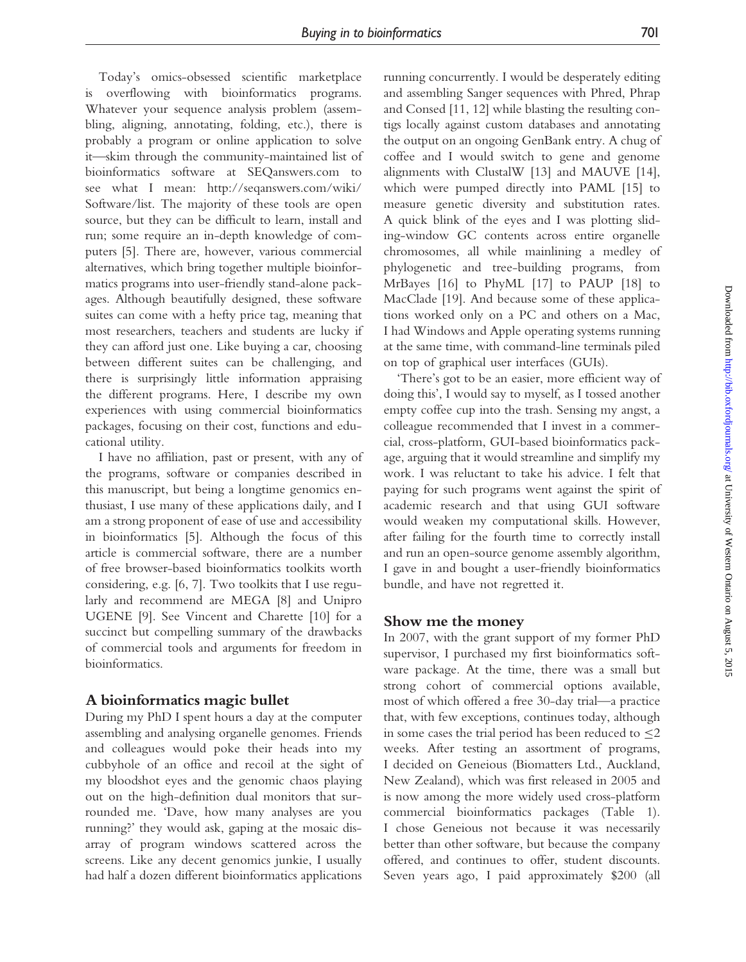Today's omics-obsessed scientific marketplace is overflowing with bioinformatics programs. Whatever your sequence analysis problem (assembling, aligning, annotating, folding, etc.), there is probably a program or online application to solve it—skim through the community-maintained list of bioinformatics software at SEQanswers.com to see what I mean: [http://seqanswers.com/wiki/](http://seqanswers.com/wiki/Software/list) [Software/list.](http://seqanswers.com/wiki/Software/list) The majority of these tools are open source, but they can be difficult to learn, install and run; some require an in-depth knowledge of computers [\[5\]](#page-8-0). There are, however, various commercial alternatives, which bring together multiple bioinformatics programs into user-friendly stand-alone packages. Although beautifully designed, these software suites can come with a hefty price tag, meaning that most researchers, teachers and students are lucky if they can afford just one. Like buying a car, choosing between different suites can be challenging, and there is surprisingly little information appraising the different programs. Here, I describe my own experiences with using commercial bioinformatics packages, focusing on their cost, functions and educational utility.

I have no affiliation, past or present, with any of the programs, software or companies described in this manuscript, but being a longtime genomics enthusiast, I use many of these applications daily, and I am a strong proponent of ease of use and accessibility in bioinformatics [\[5](#page-8-0)]. Although the focus of this article is commercial software, there are a number of free browser-based bioinformatics toolkits worth considering, e.g. [[6](#page-8-0), [7](#page-8-0)]. Two toolkits that I use regularly and recommend are MEGA [\[8\]](#page-8-0) and Unipro UGENE [[9](#page-8-0)]. See Vincent and Charette [\[10\]](#page-8-0) for a succinct but compelling summary of the drawbacks of commercial tools and arguments for freedom in bioinformatics.

# A bioinformatics magic bullet

During my PhD I spent hours a day at the computer assembling and analysing organelle genomes. Friends and colleagues would poke their heads into my cubbyhole of an office and recoil at the sight of my bloodshot eyes and the genomic chaos playing out on the high-definition dual monitors that surrounded me. 'Dave, how many analyses are you running?' they would ask, gaping at the mosaic disarray of program windows scattered across the screens. Like any decent genomics junkie, I usually had half a dozen different bioinformatics applications

running concurrently. I would be desperately editing and assembling Sanger sequences with Phred, Phrap and Consed [[11, 12\]](#page-8-0) while blasting the resulting contigs locally against custom databases and annotating the output on an ongoing GenBank entry. A chug of coffee and I would switch to gene and genome alignments with ClustalW [[13\]](#page-8-0) and MAUVE [[14](#page-8-0)], which were pumped directly into PAML [[15\]](#page-8-0) to measure genetic diversity and substitution rates. A quick blink of the eyes and I was plotting sliding-window GC contents across entire organelle chromosomes, all while mainlining a medley of phylogenetic and tree-building programs, from MrBayes [\[16](#page-8-0)] to PhyML [\[17\]](#page-8-0) to PAUP [\[18\]](#page-8-0) to MacClade [[19\]](#page-8-0). And because some of these applications worked only on a PC and others on a Mac, I had Windows and Apple operating systems running at the same time, with command-line terminals piled on top of graphical user interfaces (GUIs).

'There's got to be an easier, more efficient way of doing this', I would say to myself, as I tossed another empty coffee cup into the trash. Sensing my angst, a colleague recommended that I invest in a commercial, cross-platform, GUI-based bioinformatics package, arguing that it would streamline and simplify my work. I was reluctant to take his advice. I felt that paying for such programs went against the spirit of academic research and that using GUI software would weaken my computational skills. However, after failing for the fourth time to correctly install and run an open-source genome assembly algorithm, I gave in and bought a user-friendly bioinformatics bundle, and have not regretted it.

# Show me the money

In 2007, with the grant support of my former PhD supervisor, I purchased my first bioinformatics software package. At the time, there was a small but strong cohort of commercial options available, most of which offered a free 30-day trial—a practice that, with few exceptions, continues today, although in some cases the trial period has been reduced to  $\leq$ 2 weeks. After testing an assortment of programs, I decided on Geneious (Biomatters Ltd., Auckland, New Zealand), which was first released in 2005 and is now among the more widely used cross-platform commercial bioinformatics packages ([Table 1](#page-2-0)). I chose Geneious not because it was necessarily better than other software, but because the company offered, and continues to offer, student discounts. Seven years ago, I paid approximately \$200 (all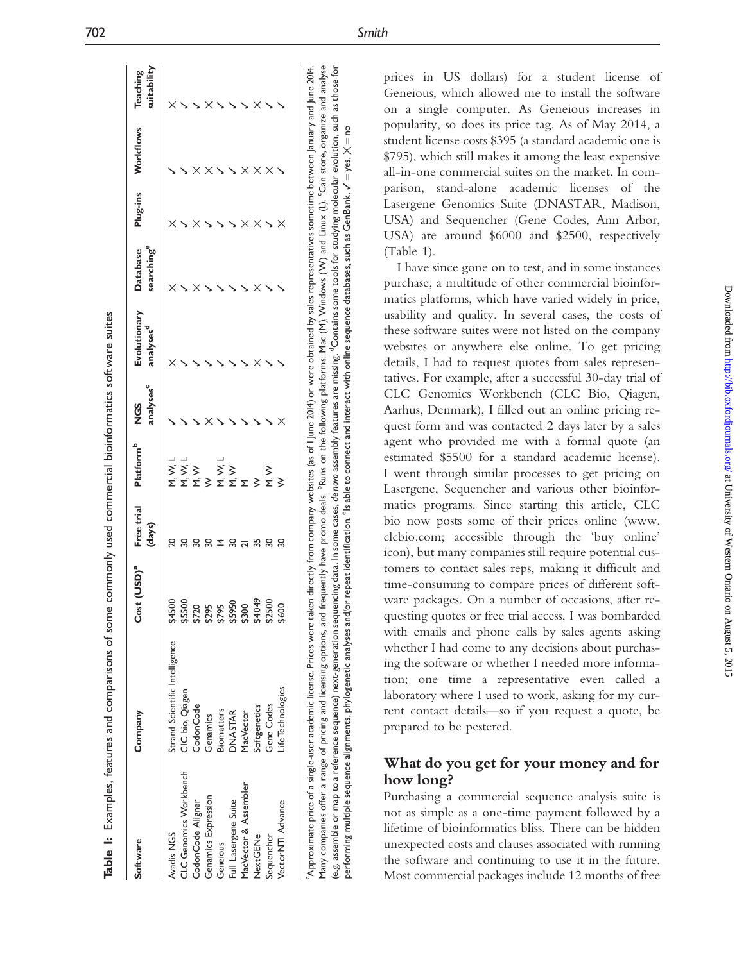<span id="page-2-0"></span>

| Software                      | Company                        | Cost (USD) <sup>a</sup> | Free trial<br>(days) | Platform <sup>b</sup>   | analyses <sup>c</sup><br><b>SOZ</b> | Evolutionary<br>analyses <sup>d</sup> | searchinge<br><b>Database</b> | Plug-ins | Workflows | suitability<br>Teaching |
|-------------------------------|--------------------------------|-------------------------|----------------------|-------------------------|-------------------------------------|---------------------------------------|-------------------------------|----------|-----------|-------------------------|
| Avadis NGS                    | Strand Scientific Intelligence | 2<br>\$450              |                      | M, W, I                 |                                     |                                       |                               |          |           |                         |
| <b>CLC Genomics Workbench</b> | CIC bio, Qiagen                | \$550                   |                      | M, W, L                 |                                     |                                       |                               |          |           |                         |
| CodonCode Aligner             | CodonCode                      | \$720                   |                      | M, W                    |                                     |                                       |                               |          |           |                         |
| Genamics Expression           | Genamics                       | \$295                   |                      |                         |                                     |                                       |                               |          |           |                         |
| Geneious                      | <b>Biomatters</b>              | \$795                   |                      | M, W, I                 |                                     |                                       |                               |          |           |                         |
| Full Lasergene Suite          | <b>DNASTAR</b>                 | \$5950                  |                      | M, N                    |                                     |                                       |                               |          |           |                         |
| MacVector & Assembler         | MacVector                      | \$300                   |                      |                         |                                     |                                       |                               |          |           |                         |
| NextGENe                      | Softgenetics                   | \$4049                  |                      | $\geq$                  |                                     |                                       |                               |          |           |                         |
| Sequencher                    | Gene Codes                     | \$2500                  |                      | N, N                    |                                     |                                       |                               |          |           |                         |
| VectorNTI Advance             | Life Technologies              | \$600                   |                      | $\overline{\mathsf{S}}$ |                                     |                                       |                               |          |           |                         |

(e.g. assemble or map to a reference sequence) next-generation sequencing data. In some cases, de novo assembly features are missing. dContains some tools for studying molecular evolution, such as those for

(e.g. assemble or map to a reference sequence) next generation sequencing data. In some cases, de novo assembly features are missing, "Contains some tools for studying molecular evolution, such as those for

performing multiple sequence alignments, phylogenetic analyses and/or repeat identification. I's able to connect and interact with online sequence databases, such as GenBank.  ${\checkmark} =$  no

performing multiple sequence alignments, phylogenetic analyses and/or repeat identification. <sup>a</sup>ls able to connect and interact with online sequence databases, such as GenBank.  $\measuredangle$  – yes, X = no

prices in US dollars) for a student license of Geneious, which allowed me to install the software on a single computer. As Geneious increases in popularity, so does its price tag. As of May 2014, a student license costs \$395 (a standard academic one is \$795), which still makes it among the least expensive all-in-one commercial suites on the market. In comparison, stand-alone academic licenses of the Lasergene Genomics Suite (DNASTAR, Madison, USA) and Sequencher (Gene Codes, Ann Arbor, USA) are around \$6000 and \$2500, respectively (Table 1).

I have since gone on to test, and in some instances purchase, a multitude of other commercial bioinformatics platforms, which have varied widely in price, usability and quality. In several cases, the costs of these software suites were not listed on the company websites or anywhere else online. To get pricing details, I had to request quotes from sales representatives. For example, after a successful 30-day trial of CLC Genomics Workbench (CLC Bio, Qiagen, Aarhus, Denmark), I filled out an online pricing request form and was contacted 2 days later by a sales agent who provided me with a formal quote (an estimated \$5500 for a standard academic license). I went through similar processes to get pricing on Lasergene, Sequencher and various other bioinformatics programs. Since starting this article, CLC bio now posts some of their prices online [\(www.](www.clcbio.com) [clcbio.com](www.clcbio.com); accessible through the 'buy online' icon), but many companies still require potential customers to contact sales reps, making it difficult and time-consuming to compare prices of different software packages. On a number of occasions, after requesting quotes or free trial access, I was bombarded with emails and phone calls by sales agents asking whether I had come to any decisions about purchasing the software or whether I needed more information; one time a representative even called a laboratory where I used to work, asking for my current contact details—so if you request a quote, be prepared to be pestered.

# What do you get for your money and for how long?

Purchasing a commercial sequence analysis suite is not as simple as a one-time payment followed by a lifetime of bioinformatics bliss. There can be hidden unexpected costs and clauses associated with running the software and continuing to use it in the future. Most commercial packages include 12 months of free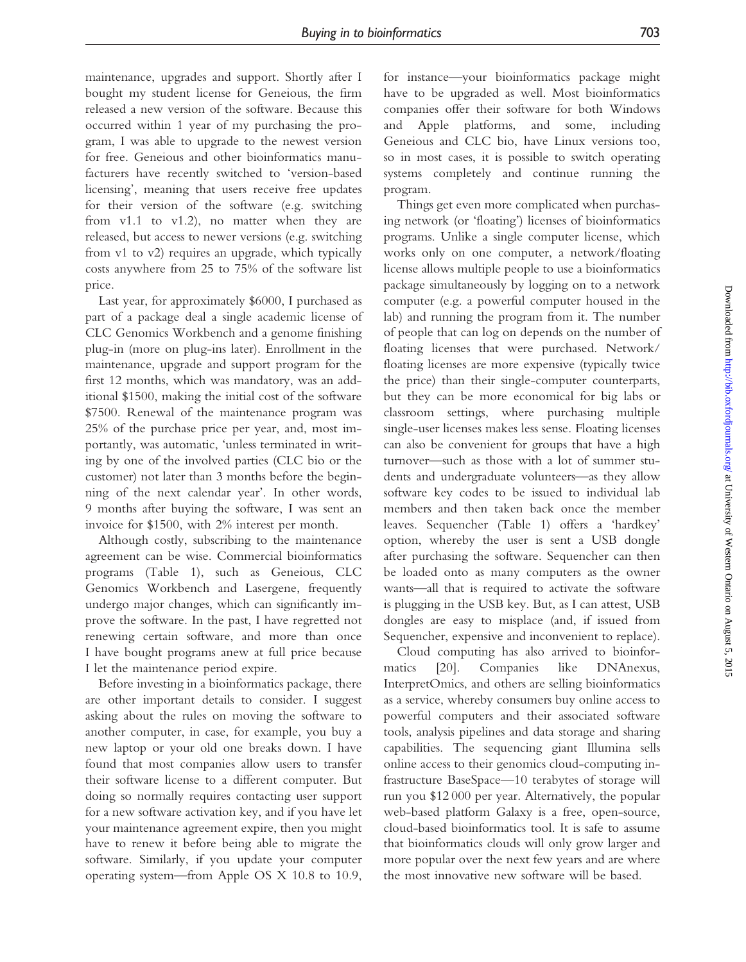maintenance, upgrades and support. Shortly after I bought my student license for Geneious, the firm released a new version of the software. Because this occurred within 1 year of my purchasing the program, I was able to upgrade to the newest version for free. Geneious and other bioinformatics manufacturers have recently switched to 'version-based licensing', meaning that users receive free updates for their version of the software (e.g. switching from v1.1 to v1.2), no matter when they are released, but access to newer versions (e.g. switching from v1 to v2) requires an upgrade, which typically costs anywhere from 25 to 75% of the software list price.

Last year, for approximately \$6000, I purchased as part of a package deal a single academic license of CLC Genomics Workbench and a genome finishing plug-in (more on plug-ins later). Enrollment in the maintenance, upgrade and support program for the first 12 months, which was mandatory, was an additional \$1500, making the initial cost of the software \$7500. Renewal of the maintenance program was 25% of the purchase price per year, and, most importantly, was automatic, 'unless terminated in writing by one of the involved parties (CLC bio or the customer) not later than 3 months before the beginning of the next calendar year'. In other words, 9 months after buying the software, I was sent an invoice for \$1500, with 2% interest per month.

Although costly, subscribing to the maintenance agreement can be wise. Commercial bioinformatics programs [\(Table 1\)](#page-2-0), such as Geneious, CLC Genomics Workbench and Lasergene, frequently undergo major changes, which can significantly improve the software. In the past, I have regretted not renewing certain software, and more than once I have bought programs anew at full price because I let the maintenance period expire.

Before investing in a bioinformatics package, there are other important details to consider. I suggest asking about the rules on moving the software to another computer, in case, for example, you buy a new laptop or your old one breaks down. I have found that most companies allow users to transfer their software license to a different computer. But doing so normally requires contacting user support for a new software activation key, and if you have let your maintenance agreement expire, then you might have to renew it before being able to migrate the software. Similarly, if you update your computer operating system—from Apple OS X 10.8 to 10.9, for instance—your bioinformatics package might have to be upgraded as well. Most bioinformatics companies offer their software for both Windows and Apple platforms, and some, including Geneious and CLC bio, have Linux versions too, so in most cases, it is possible to switch operating systems completely and continue running the program.

Things get even more complicated when purchasing network (or 'floating') licenses of bioinformatics programs. Unlike a single computer license, which works only on one computer, a network/floating license allows multiple people to use a bioinformatics package simultaneously by logging on to a network computer (e.g. a powerful computer housed in the lab) and running the program from it. The number of people that can log on depends on the number of floating licenses that were purchased. Network/ floating licenses are more expensive (typically twice the price) than their single-computer counterparts, but they can be more economical for big labs or classroom settings, where purchasing multiple single-user licenses makes less sense. Floating licenses can also be convenient for groups that have a high turnover—such as those with a lot of summer students and undergraduate volunteers—as they allow software key codes to be issued to individual lab members and then taken back once the member leaves. Sequencher [\(Table 1\)](#page-2-0) offers a 'hardkey' option, whereby the user is sent a USB dongle after purchasing the software. Sequencher can then be loaded onto as many computers as the owner wants—all that is required to activate the software is plugging in the USB key. But, as I can attest, USB dongles are easy to misplace (and, if issued from Sequencher, expensive and inconvenient to replace).

Cloud computing has also arrived to bioinformatics [\[20\]](#page-8-0). Companies like DNAnexus, InterpretOmics, and others are selling bioinformatics as a service, whereby consumers buy online access to powerful computers and their associated software tools, analysis pipelines and data storage and sharing capabilities. The sequencing giant Illumina sells online access to their genomics cloud-computing infrastructure BaseSpace—10 terabytes of storage will run you \$12 000 per year. Alternatively, the popular web-based platform Galaxy is a free, open-source, cloud-based bioinformatics tool. It is safe to assume that bioinformatics clouds will only grow larger and more popular over the next few years and are where the most innovative new software will be based.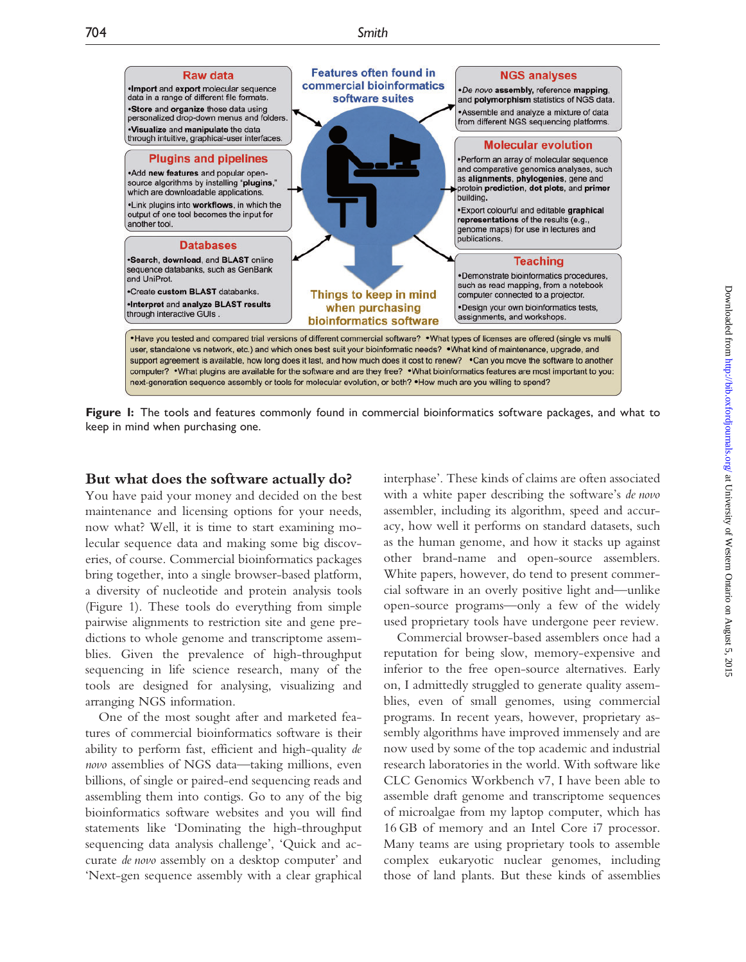<span id="page-4-0"></span>

Figure 1: The tools and features commonly found in commercial bioinformatics software packages, and what to keep in mind when purchasing one.

### But what does the software actually do?

You have paid your money and decided on the best maintenance and licensing options for your needs, now what? Well, it is time to start examining molecular sequence data and making some big discoveries, of course. Commercial bioinformatics packages bring together, into a single browser-based platform, a diversity of nucleotide and protein analysis tools (Figure 1). These tools do everything from simple pairwise alignments to restriction site and gene predictions to whole genome and transcriptome assemblies. Given the prevalence of high-throughput sequencing in life science research, many of the tools are designed for analysing, visualizing and arranging NGS information.

One of the most sought after and marketed features of commercial bioinformatics software is their ability to perform fast, efficient and high-quality de novo assemblies of NGS data—taking millions, even billions, of single or paired-end sequencing reads and assembling them into contigs. Go to any of the big bioinformatics software websites and you will find statements like 'Dominating the high-throughput sequencing data analysis challenge', 'Quick and accurate de novo assembly on a desktop computer' and 'Next-gen sequence assembly with a clear graphical interphase'. These kinds of claims are often associated with a white paper describing the software's *de novo* assembler, including its algorithm, speed and accuracy, how well it performs on standard datasets, such as the human genome, and how it stacks up against other brand-name and open-source assemblers. White papers, however, do tend to present commercial software in an overly positive light and—unlike open-source programs—only a few of the widely used proprietary tools have undergone peer review.

Commercial browser-based assemblers once had a reputation for being slow, memory-expensive and inferior to the free open-source alternatives. Early on, I admittedly struggled to generate quality assemblies, even of small genomes, using commercial programs. In recent years, however, proprietary assembly algorithms have improved immensely and are now used by some of the top academic and industrial research laboratories in the world. With software like CLC Genomics Workbench v7, I have been able to assemble draft genome and transcriptome sequences of microalgae from my laptop computer, which has 16 GB of memory and an Intel Core i7 processor. Many teams are using proprietary tools to assemble complex eukaryotic nuclear genomes, including those of land plants. But these kinds of assemblies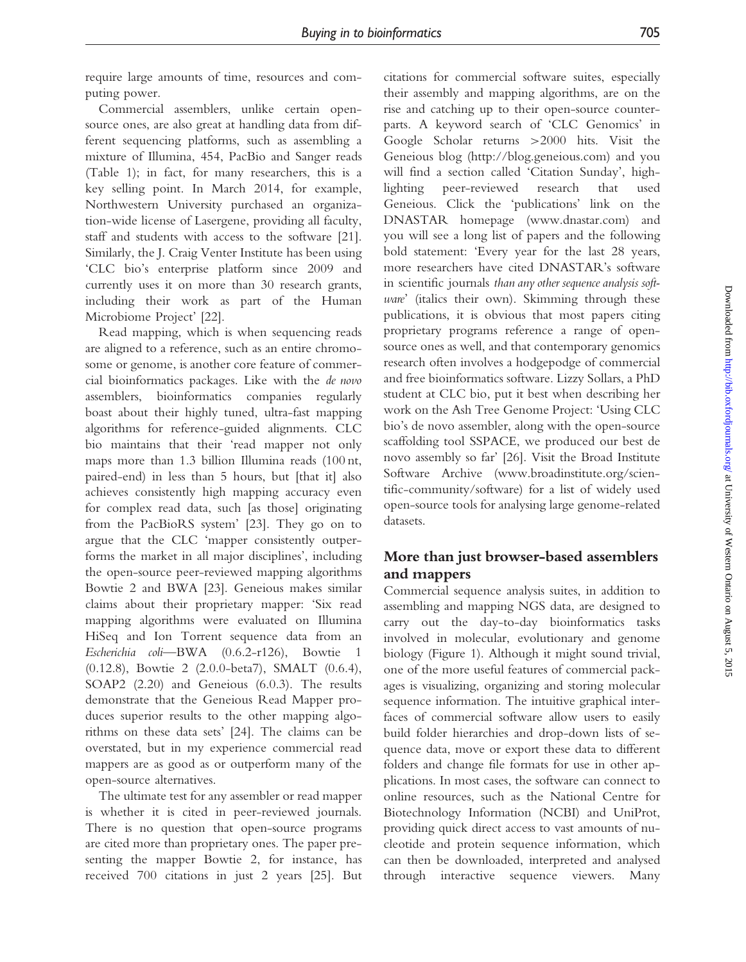require large amounts of time, resources and computing power.

Commercial assemblers, unlike certain opensource ones, are also great at handling data from different sequencing platforms, such as assembling a mixture of Illumina, 454, PacBio and Sanger reads [\(Table 1\)](#page-2-0); in fact, for many researchers, this is a key selling point. In March 2014, for example, Northwestern University purchased an organization-wide license of Lasergene, providing all faculty, staff and students with access to the software [[21](#page-8-0)]. Similarly, the J. Craig Venter Institute has been using 'CLC bio's enterprise platform since 2009 and currently uses it on more than 30 research grants, including their work as part of the Human Microbiome Project' [[22\]](#page-8-0).

Read mapping, which is when sequencing reads are aligned to a reference, such as an entire chromosome or genome, is another core feature of commercial bioinformatics packages. Like with the de novo assemblers, bioinformatics companies regularly boast about their highly tuned, ultra-fast mapping algorithms for reference-guided alignments. CLC bio maintains that their 'read mapper not only maps more than 1.3 billion Illumina reads (100 nt, paired-end) in less than 5 hours, but [that it] also achieves consistently high mapping accuracy even for complex read data, such [as those] originating from the PacBioRS system' [[23](#page-8-0)]. They go on to argue that the CLC 'mapper consistently outperforms the market in all major disciplines', including the open-source peer-reviewed mapping algorithms Bowtie 2 and BWA [\[23](#page-8-0)]. Geneious makes similar claims about their proprietary mapper: 'Six read mapping algorithms were evaluated on Illumina HiSeq and Ion Torrent sequence data from an Escherichia coli—BWA (0.6.2-r126), Bowtie 1 (0.12.8), Bowtie 2 (2.0.0-beta7), SMALT (0.6.4), SOAP2 (2.20) and Geneious (6.0.3). The results demonstrate that the Geneious Read Mapper produces superior results to the other mapping algorithms on these data sets' [\[24\]](#page-8-0). The claims can be overstated, but in my experience commercial read mappers are as good as or outperform many of the open-source alternatives.

The ultimate test for any assembler or read mapper is whether it is cited in peer-reviewed journals. There is no question that open-source programs are cited more than proprietary ones. The paper presenting the mapper Bowtie 2, for instance, has received 700 citations in just 2 years [[25\]](#page-8-0). But citations for commercial software suites, especially their assembly and mapping algorithms, are on the rise and catching up to their open-source counterparts. A keyword search of 'CLC Genomics' in Google Scholar returns >2000 hits. Visit the Geneious blog ([http://blog.geneious.com\)](http://blog.geneious.com) and you will find a section called 'Citation Sunday', highlighting peer-reviewed research that used Geneious. Click the 'publications' link on the DNASTAR homepage [\(www.dnastar.com\)](www.dnastar.com) and you will see a long list of papers and the following bold statement: 'Every year for the last 28 years, more researchers have cited DNASTAR's software in scientific journals than any other sequence analysis software' (italics their own). Skimming through these publications, it is obvious that most papers citing proprietary programs reference a range of opensource ones as well, and that contemporary genomics research often involves a hodgepodge of commercial and free bioinformatics software. Lizzy Sollars, a PhD student at CLC bio, put it best when describing her work on the Ash Tree Genome Project: 'Using CLC bio's de novo assembler, along with the open-source scaffolding tool SSPACE, we produced our best de novo assembly so far' [[26\]](#page-8-0). Visit the Broad Institute Software Archive ([www.broadinstitute.org/scien](www.broadinstitute.org/scientific-community/software)[tific-community/software\)](www.broadinstitute.org/scientific-community/software) for a list of widely used open-source tools for analysing large genome-related datasets.

# More than just browser-based assemblers and mappers

Commercial sequence analysis suites, in addition to assembling and mapping NGS data, are designed to carry out the day-to-day bioinformatics tasks involved in molecular, evolutionary and genome biology ([Figure 1\)](#page-4-0). Although it might sound trivial, one of the more useful features of commercial packages is visualizing, organizing and storing molecular sequence information. The intuitive graphical interfaces of commercial software allow users to easily build folder hierarchies and drop-down lists of sequence data, move or export these data to different folders and change file formats for use in other applications. In most cases, the software can connect to online resources, such as the National Centre for Biotechnology Information (NCBI) and UniProt, providing quick direct access to vast amounts of nucleotide and protein sequence information, which can then be downloaded, interpreted and analysed through interactive sequence viewers. Many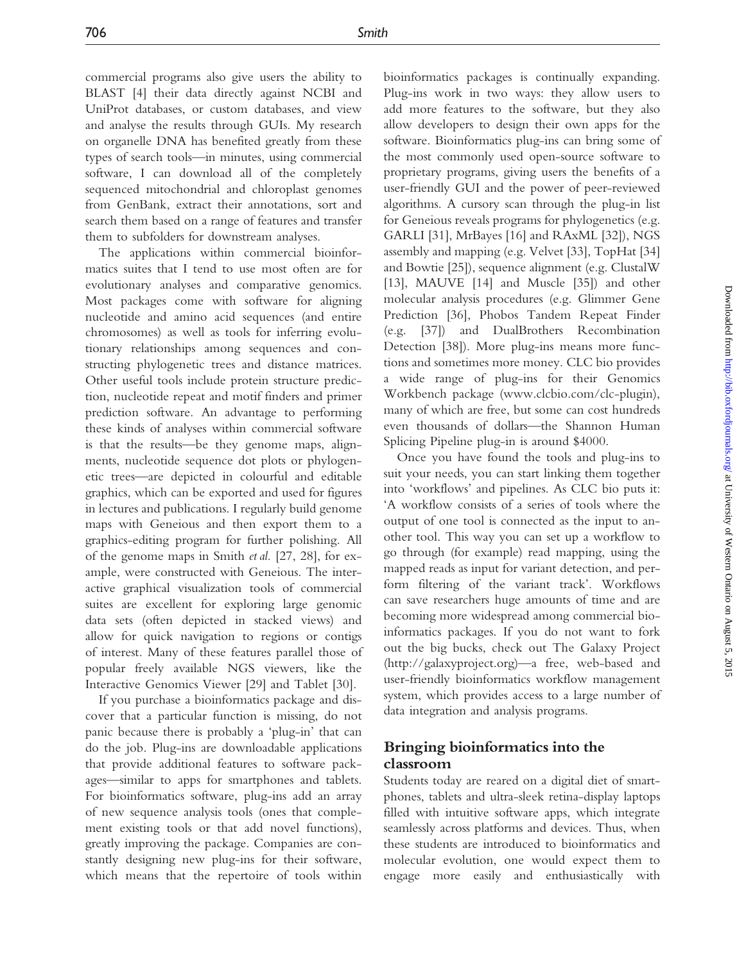commercial programs also give users the ability to BLAST [[4](#page-8-0)] their data directly against NCBI and UniProt databases, or custom databases, and view and analyse the results through GUIs. My research on organelle DNA has benefited greatly from these types of search tools—in minutes, using commercial software, I can download all of the completely sequenced mitochondrial and chloroplast genomes from GenBank, extract their annotations, sort and search them based on a range of features and transfer them to subfolders for downstream analyses.

The applications within commercial bioinformatics suites that I tend to use most often are for evolutionary analyses and comparative genomics. Most packages come with software for aligning nucleotide and amino acid sequences (and entire chromosomes) as well as tools for inferring evolutionary relationships among sequences and constructing phylogenetic trees and distance matrices. Other useful tools include protein structure prediction, nucleotide repeat and motif finders and primer prediction software. An advantage to performing these kinds of analyses within commercial software is that the results—be they genome maps, alignments, nucleotide sequence dot plots or phylogenetic trees—are depicted in colourful and editable graphics, which can be exported and used for figures in lectures and publications. I regularly build genome maps with Geneious and then export them to a graphics-editing program for further polishing. All of the genome maps in Smith et al. [[27](#page-8-0), [28](#page-8-0)], for example, were constructed with Geneious. The interactive graphical visualization tools of commercial suites are excellent for exploring large genomic data sets (often depicted in stacked views) and allow for quick navigation to regions or contigs of interest. Many of these features parallel those of popular freely available NGS viewers, like the Interactive Genomics Viewer [[29](#page-9-0)] and Tablet [\[30\]](#page-9-0).

If you purchase a bioinformatics package and discover that a particular function is missing, do not panic because there is probably a 'plug-in' that can do the job. Plug-ins are downloadable applications that provide additional features to software packages—similar to apps for smartphones and tablets. For bioinformatics software, plug-ins add an array of new sequence analysis tools (ones that complement existing tools or that add novel functions), greatly improving the package. Companies are constantly designing new plug-ins for their software, which means that the repertoire of tools within

bioinformatics packages is continually expanding. Plug-ins work in two ways: they allow users to add more features to the software, but they also allow developers to design their own apps for the software. Bioinformatics plug-ins can bring some of the most commonly used open-source software to proprietary programs, giving users the benefits of a user-friendly GUI and the power of peer-reviewed algorithms. A cursory scan through the plug-in list for Geneious reveals programs for phylogenetics (e.g. GARLI [[31](#page-9-0)], MrBayes [\[16](#page-8-0)] and RAxML [\[32\]](#page-9-0)), NGS assembly and mapping (e.g. Velvet [[33](#page-9-0)], TopHat [\[34](#page-9-0)] and Bowtie [[25](#page-8-0)]), sequence alignment (e.g. ClustalW [\[13](#page-8-0)], MAUVE [\[14\]](#page-8-0) and Muscle [[35\]](#page-9-0)) and other molecular analysis procedures (e.g. Glimmer Gene Prediction [[36\]](#page-9-0), Phobos Tandem Repeat Finder (e.g. [[37](#page-9-0)]) and DualBrothers Recombination Detection [\[38\]](#page-9-0)). More plug-ins means more functions and sometimes more money. CLC bio provides a wide range of plug-ins for their Genomics Workbench package [\(www.clcbio.com/clc-plugin](www.clcbio.com/clc-plugin)), many of which are free, but some can cost hundreds even thousands of dollars—the Shannon Human Splicing Pipeline plug-in is around \$4000.

Once you have found the tools and plug-ins to suit your needs, you can start linking them together into 'workflows' and pipelines. As CLC bio puts it: 'A workflow consists of a series of tools where the output of one tool is connected as the input to another tool. This way you can set up a workflow to go through (for example) read mapping, using the mapped reads as input for variant detection, and perform filtering of the variant track'. Workflows can save researchers huge amounts of time and are becoming more widespread among commercial bioinformatics packages. If you do not want to fork out the big bucks, check out The Galaxy Project [\(http://galaxyproject.org\)](http://galaxyproject.org)—a free, web-based and user-friendly bioinformatics workflow management system, which provides access to a large number of data integration and analysis programs.

# Bringing bioinformatics into the classroom

Students today are reared on a digital diet of smartphones, tablets and ultra-sleek retina-display laptops filled with intuitive software apps, which integrate seamlessly across platforms and devices. Thus, when these students are introduced to bioinformatics and molecular evolution, one would expect them to engage more easily and enthusiastically with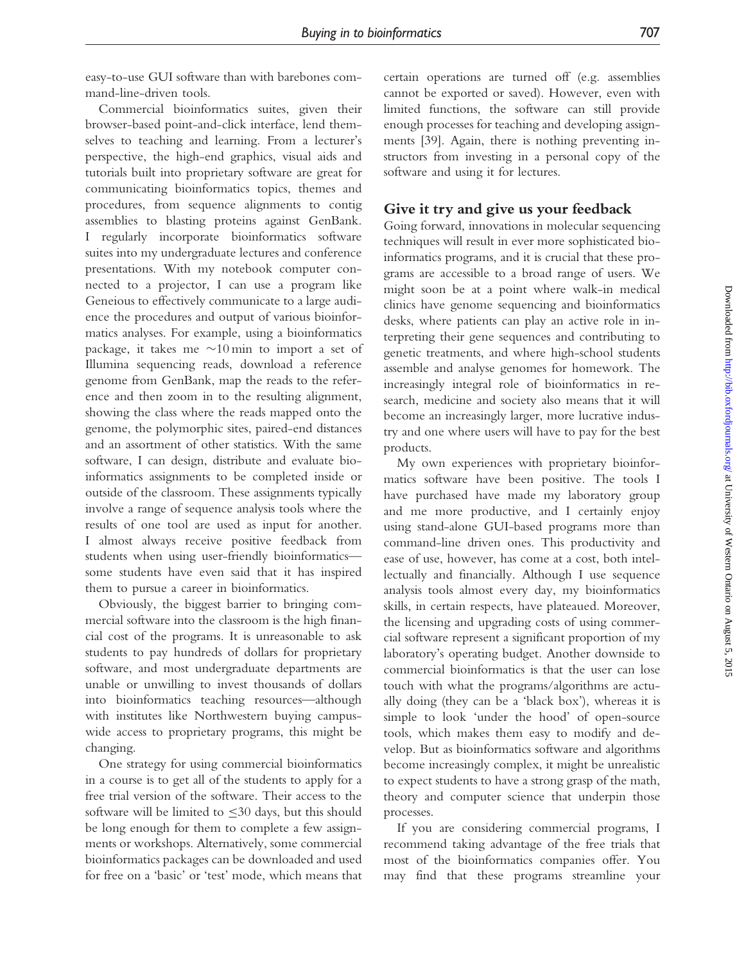easy-to-use GUI software than with barebones command-line-driven tools.

Commercial bioinformatics suites, given their browser-based point-and-click interface, lend themselves to teaching and learning. From a lecturer's perspective, the high-end graphics, visual aids and tutorials built into proprietary software are great for communicating bioinformatics topics, themes and procedures, from sequence alignments to contig assemblies to blasting proteins against GenBank. I regularly incorporate bioinformatics software suites into my undergraduate lectures and conference presentations. With my notebook computer connected to a projector, I can use a program like Geneious to effectively communicate to a large audience the procedures and output of various bioinformatics analyses. For example, using a bioinformatics package, it takes me  $\sim 10$  min to import a set of Illumina sequencing reads, download a reference genome from GenBank, map the reads to the reference and then zoom in to the resulting alignment, showing the class where the reads mapped onto the genome, the polymorphic sites, paired-end distances and an assortment of other statistics. With the same software, I can design, distribute and evaluate bioinformatics assignments to be completed inside or outside of the classroom. These assignments typically involve a range of sequence analysis tools where the results of one tool are used as input for another. I almost always receive positive feedback from students when using user-friendly bioinformatics some students have even said that it has inspired them to pursue a career in bioinformatics.

Obviously, the biggest barrier to bringing commercial software into the classroom is the high financial cost of the programs. It is unreasonable to ask students to pay hundreds of dollars for proprietary software, and most undergraduate departments are unable or unwilling to invest thousands of dollars into bioinformatics teaching resources—although with institutes like Northwestern buying campuswide access to proprietary programs, this might be changing.

One strategy for using commercial bioinformatics in a course is to get all of the students to apply for a free trial version of the software. Their access to the software will be limited to  $\leq$ 30 days, but this should be long enough for them to complete a few assignments or workshops. Alternatively, some commercial bioinformatics packages can be downloaded and used for free on a 'basic' or 'test' mode, which means that certain operations are turned off (e.g. assemblies cannot be exported or saved). However, even with limited functions, the software can still provide enough processes for teaching and developing assignments [[39](#page-9-0)]. Again, there is nothing preventing instructors from investing in a personal copy of the software and using it for lectures.

# Give it try and give us your feedback

Going forward, innovations in molecular sequencing techniques will result in ever more sophisticated bioinformatics programs, and it is crucial that these programs are accessible to a broad range of users. We might soon be at a point where walk-in medical clinics have genome sequencing and bioinformatics desks, where patients can play an active role in interpreting their gene sequences and contributing to genetic treatments, and where high-school students assemble and analyse genomes for homework. The increasingly integral role of bioinformatics in research, medicine and society also means that it will become an increasingly larger, more lucrative industry and one where users will have to pay for the best products.

My own experiences with proprietary bioinformatics software have been positive. The tools I have purchased have made my laboratory group and me more productive, and I certainly enjoy using stand-alone GUI-based programs more than command-line driven ones. This productivity and ease of use, however, has come at a cost, both intellectually and financially. Although I use sequence analysis tools almost every day, my bioinformatics skills, in certain respects, have plateaued. Moreover, the licensing and upgrading costs of using commercial software represent a significant proportion of my laboratory's operating budget. Another downside to commercial bioinformatics is that the user can lose touch with what the programs/algorithms are actually doing (they can be a 'black box'), whereas it is simple to look 'under the hood' of open-source tools, which makes them easy to modify and develop. But as bioinformatics software and algorithms become increasingly complex, it might be unrealistic to expect students to have a strong grasp of the math, theory and computer science that underpin those processes.

If you are considering commercial programs, I recommend taking advantage of the free trials that most of the bioinformatics companies offer. You may find that these programs streamline your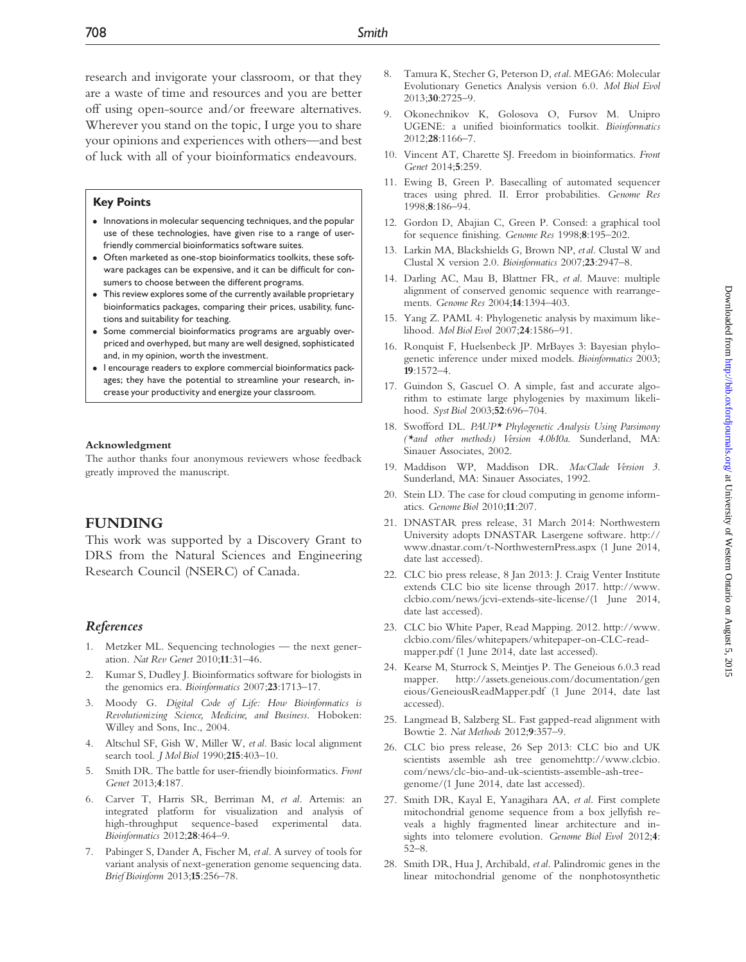<span id="page-8-0"></span>research and invigorate your classroom, or that they are a waste of time and resources and you are better off using open-source and/or freeware alternatives. Wherever you stand on the topic, I urge you to share your opinions and experiences with others—and best of luck with all of your bioinformatics endeavours.

#### Key Points

- Innovations in molecular sequencing techniques, and the popular use of these technologies, have given rise to a range of userfriendly commercial bioinformatics software suites.
- Often marketed as one-stop bioinformatics toolkits, these software packages can be expensive, and it can be difficult for consumers to choose between the different programs.
- This review explores some of the currently available proprietary bioinformatics packages, comparing their prices, usability, functions and suitability for teaching.
- Some commercial bioinformatics programs are arguably overpriced and overhyped, but many are well designed, sophisticated and, in my opinion, worth the investment.
- I encourage readers to explore commercial bioinformatics packages; they have the potential to streamline your research, increase your productivity and energize your classroom.

#### Acknowledgment

The author thanks four anonymous reviewers whose feedback greatly improved the manuscript.

## FUNDING

This work was supported by a Discovery Grant to DRS from the Natural Sciences and Engineering Research Council (NSERC) of Canada.

#### References

- 1. Metzker ML. Sequencing technologies the next generation. Nat Rev Genet 2010;11:31–46.
- 2. Kumar S, Dudley J. Bioinformatics software for biologists in the genomics era. Bioinformatics 2007;23:1713–17.
- 3. Moody G. Digital Code of Life: How Bioinformatics is Revolutionizing Science, Medicine, and Business. Hoboken: Willey and Sons, Inc., 2004.
- 4. Altschul SF, Gish W, Miller W, et al. Basic local alignment search tool. *J Mol Biol* 1990;215:403-10.
- 5. Smith DR. The battle for user-friendly bioinformatics. Front Genet 2013;4:187.
- 6. Carver T, Harris SR, Berriman M, et al. Artemis: an integrated platform for visualization and analysis of high-throughput sequence-based experimental data. Bioinformatics 2012;28:464–9.
- 7. Pabinger S, Dander A, Fischer M, et al. A survey of tools for variant analysis of next-generation genome sequencing data. Brief Bioinform 2013;15:256–78.
- 8. Tamura K, Stecher G, Peterson D, etal. MEGA6: Molecular Evolutionary Genetics Analysis version 6.0. Mol Biol Evol 2013;30:2725–9.
- 9. Okonechnikov K, Golosova O, Fursov M. Unipro UGENE: a unified bioinformatics toolkit. Bioinformatics 2012;28:1166–7.
- 10. Vincent AT, Charette SJ. Freedom in bioinformatics. Front Genet 2014;5:259.
- 11. Ewing B, Green P. Basecalling of automated sequencer traces using phred. II. Error probabilities. Genome Res 1998;8:186–94.
- 12. Gordon D, Abajian C, Green P. Consed: a graphical tool for sequence finishing. Genome Res 1998;8:195–202.
- 13. Larkin MA, Blackshields G, Brown NP, et al. Clustal W and Clustal X version 2.0. Bioinformatics 2007;23:2947–8.
- 14. Darling AC, Mau B, Blattner FR, et al. Mauve: multiple alignment of conserved genomic sequence with rearrangements. Genome Res 2004;14:1394–403.
- 15. Yang Z. PAML 4: Phylogenetic analysis by maximum likelihood. Mol Biol Evol 2007;24:1586–91.
- 16. Ronquist F, Huelsenbeck JP. MrBayes 3: Bayesian phylogenetic inference under mixed models. Bioinformatics 2003; 19:1572–4.
- 17. Guindon S, Gascuel O. A simple, fast and accurate algorithm to estimate large phylogenies by maximum likelihood. Syst Biol 2003;52:696–704.
- 18. Swofford DL. PAUP\* Phylogenetic Analysis Using Parsimony (\*and other methods) Version 4.0b10a. Sunderland, MA: Sinauer Associates, 2002.
- 19. Maddison WP, Maddison DR. MacClade Version 3. Sunderland, MA: Sinauer Associates, 1992.
- 20. Stein LD. The case for cloud computing in genome informatics. Genome Biol 2010;11:207.
- 21. DNASTAR press release, 31 March 2014: Northwestern University adopts DNASTAR Lasergene software. [http://](http://www.dnastar.com/t-NorthwesternPress.aspx) [www.dnastar.com/t-NorthwesternPress.aspx](http://www.dnastar.com/t-NorthwesternPress.aspx) (1 June 2014, date last accessed).
- 22. CLC bio press release, 8 Jan 2013: J. Craig Venter Institute extends CLC bio site license through 2017. [http://www.](http://www.clcbio.com/news/jcvi-extends-site-license/) [clcbio.com/news/jcvi-extends-site-license/\(](http://www.clcbio.com/news/jcvi-extends-site-license/)1 June 2014, date last accessed).
- 23. CLC bio White Paper, Read Mapping. 2012. [http://www.](http://www.clcbio.com/files/whitepapers/whitepaper-on-CLC-read-mapper.pdf) [clcbio.com/files/whitepapers/whitepaper-on-CLC-read](http://www.clcbio.com/files/whitepapers/whitepaper-on-CLC-read-mapper.pdf)[mapper.pdf](http://www.clcbio.com/files/whitepapers/whitepaper-on-CLC-read-mapper.pdf) (1 June 2014, date last accessed).
- 24. Kearse M, Sturrock S, Meintjes P. The Geneious 6.0.3 read mapper. [http://assets.geneious.com/documentation/gen](http://assets.geneious.com/documentation/geneious/GeneiousReadMapper.pdf) [eious/GeneiousReadMapper.pdf](http://assets.geneious.com/documentation/geneious/GeneiousReadMapper.pdf) (1 June 2014, date last accessed).
- 25. Langmead B, Salzberg SL. Fast gapped-read alignment with Bowtie 2. Nat Methods 2012;9:357–9.
- 26. CLC bio press release, 26 Sep 2013: CLC bio and UK scientists assemble ash tree genom[ehttp://www.clcbio.](http://www.clcbio.com/news/clc-bio-and-uk-scientists-assemble-ash-tree-genome/) [com/news/clc-bio-and-uk-scientists-assemble-ash-tree](http://www.clcbio.com/news/clc-bio-and-uk-scientists-assemble-ash-tree-genome/)[genome/](http://www.clcbio.com/news/clc-bio-and-uk-scientists-assemble-ash-tree-genome/)(1 June 2014, date last accessed).
- 27. Smith DR, Kayal E, Yanagihara AA, et al. First complete mitochondrial genome sequence from a box jellyfish reveals a highly fragmented linear architecture and insights into telomere evolution. Genome Biol Evol 2012;4: 52–8.
- 28. Smith DR, Hua J, Archibald, et al. Palindromic genes in the linear mitochondrial genome of the nonphotosynthetic